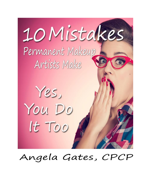

# Angela Gates, CPCP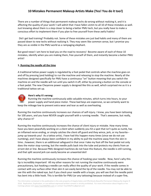There are a number of things that permanent makeup techs do wrong without realizing it, and it is affecting the quality of your work! I will admit that I have fallen victim to all 10 of these mistakes as well. Just knowing about them is a step closer to being a better PMU tech, but you really have to make a conscious effort to implement them if you plan to free yourself from these awful habits!

Did I get bad training? Probably not. Some of these mistakes are just bad habits and many of them are passed down to new techs without realizing it. They may seem like common sense, but I promise you they are as visible in the PMU world as a rampaging elephant.

But good news! I am here to lead you on the road to recovery! Become aware of each of these 10 mistakes, identify when you are making them, free yourself of them, and instantly become a better PMU artist!

## **1. Running the needle all the time**

A traditional tattoo power supply is regulated by a foot pedal that controls when the machine goes on and off by pressing (and holding) to run the machine and releasing to stop the machine. Nearly all the machines designed specifically for PMU have a continuous "on" button meaning that you switch the machine on and the needle will run until you switch it off, either by pressing a button on the console or a foot pedal. The new Cheyenne power supply is designed like this as well, which surprised me as it is a traditional tattoo set up.



## **Here's why it's wrong:**

Running the machine continuously adds valuable minutes, which turns into hours, to your power supply and hand piece motor. These bad boys are expensive, so we certainly want to keep the mileage low to prevent extra wear and tear as well as overheating.

Running the machine continuously increases our chances of self-injury. I know, you have been tattooing for 100 years, and you have NEVER caught yourself with a running needle. That's awesome, but really, why chance it?

Running the machine continuously increases the chance of client injury or mistake. How many times have you been peacefully working on a client when suddenly you hit a spot that isn't quite as numb, has an inflamed nerve ending, or simply catches the client off guard and they wince, jerk, or my favorite- jump up towards you! As a tattoo artist, I have had this happen many times (since we do not use numbing), and I have always been confident in my ability to pull the machine away from the skin in time...however, there is an additional safeguard in that once I take my foot off the foot pedal not only does the motor stop running, but the needle pulls back into the tube and protects my clients from an errant dot or line. Because PMU designed machines do not have this feature, the needle is still running, and that split second jerk can easily become an unwanted dot!

Running the machine continuously increases the chance of hooking your needle. Now, here's why this tip is incredibly important! All my other reasons for not running the machine continuously were precautionary, but hooking a needle can really affect the quality of your work. If the needle comes in contact with any surface other than skin it can easily bend the tip of the needle. You may not be able to see this with the naked eye, but if you check your needle with a loupe, you will see that the needle point has bent into a little hook. This is terrible for PMU (or any tattooing) because instead of a super fine,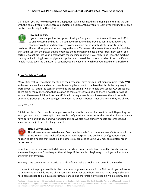sharp point you are now trying to implant pigment with a dull needle and ripping and tearing the skin with the hook. If you are having trouble implanting color, or think you are really over working the skin, a hooked needle might be the culprit.



## **How do I fix this?**

If your power supply has the option of using a foot pedal to turn the machine on and off, I strongly recommend using it. If you have a machine that provides continuous power and changing to a foot pedal operated power supply is not in your budget, simply turn the machine off every time you are not working in the skin. This means that every time you pull out of the skin you must turn the power off. Do not place the running hand piece on your treatment table, and certainly do not dip into your pigment with the machine running. If you forget and leave the machine running while dipping into your pigment cup, be sure to avoid the bottom or sides of the cup. If your needle makes even the tiniest bit of contact, you may need to switch out your needle for a fresh one.

## **2. Not Switching Needles**

Many PMU techs are taught in the style of their teacher. I have noticed that many trainers teach PMU with a certain machine and certain needle leading the student to believe that this is the only way to work properly. I often see techs in the online groups asking "which needle do I use for XXX procedure?" There are as many answers to that question as there are technicians, and there is no right or wrong answer. I have seen full lips done beautifully with a single needle, and I have seen them done with enormous groupings and everything in between. So which is better? They all are and they are all not.

## Wait, What??

OK, let me clarify. Each needle has a purpose and a set of techniques for how it is used. Depending on what you are trying to accomplish one needle configuration may be better than another, but since we all have our own unique style and way of doing things, we also have our own needle preferences, but sometimes you just need to change needles.



## **Here's why it's wrong:**

Not all needles are created equal. Even needles made from the same manufacturer and in the same lot can have small differences in their sharpness and quality of configuration. If you happen to get a needle that is not like the others you are used to using, you may see a difference in performance.

Sometimes the needles can dull while you are working. Some people have incredibly tough skin, and some needles just aren't as sharp as their siblings. If the needle is beginning to dull, you will notice a change in performance.

You may have come into contact with a hard surface causing a hook or dull point in the needle.

It may not be the proper needle for the client. As you gain experience in the PMU world you will come to understand that while we are all human, our similarities stop there. We each have unique skin that has been exposed to a unique set of circumstances, and therefore no two people will be exactly alike.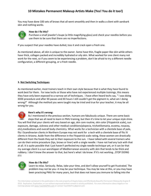You may have done 100 sets of brows that all went smoothly and then in walks a client with aardvark skin and nothing works.



## **How do I fix this?**

Purchase a small jeweler's loupe (a little magnifying glass) and check your needles before you use them to be sure that there are no imperfections.

If you suspect that your needles have dulled, toss it and crack open a fresh one.

As mentioned above, all skin is unique to the owner. Some have thin, fragile paper-like skin while others have thick, collagen packed and incredibly hydrated or oily skin. What worked for one client many not work for the next, so if you seem to be experiencing a problem, don't be afraid to try a different needle configuration, a different grouping, or a fresh needle.

## **3. Not Switching Techniques**

As mentioned earlier, most trainers teach in their own style because that is what they have found to work best for them. For new techs or those who have not experienced multiple trainings, this means they have only been exposed to a narrow set of techniques. I have often heard techs say, " I was doing XXXX procedure and after XX passes and XX hours I still couldn't get the pigment in, what am I doing wrong?" Although the method you were taught may be tried and true for your teacher, it may be all wrong for you.



## **Here's why it's wrong:**

As I mentioned in the previous section, humans are fabulously unique. There are some basic steps that we all need to learn in PMU training, but then it's time to let your unique style shine. You will find that your clients will vary based on age, skin care routine, skin color (Fitzpatrick scale), sun exposure, damage, sickness and other medical conditions(alopecia, trichotillomania, eczema, rosacea, etc),medications and overall body chemistry. What works for a technician with a clientele base of pale, fitz I Scandinavian clients in Northern Europe may not work for a tech with a clientele base of fitz IV clients in Arizona. Aside from the difference in the Fitzpatrick scale rating, these women are drastically different from the foods they eat to their exposure to the sun. I have talked with several trainers who can do their entire procedure (lips, brows or liner) with a single needle. I have not had any luck with that at all. It is quite possible that I just haven't perfected my single needle technique yet, or it can be that my average client is a sun worshipper of Mediterranean ancestry with skin that tends to be thick and rubbery. I don't know the answer to that, but here's what I do know: If it's not working...STOP DOING IT!!



## **How do I fix this?**

Learn to relax. Seriously. Relax, take your time, and don't allow yourself to get frustrated. The problem may not be you--it may be your technique. You may be new at this, or you may have been practicing PMU for many years, but that does not leave you immune to falling into the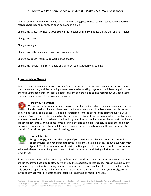habit of sticking with one technique pass after infuriating pass without seeing results. Make yourself a mental checklist and go through each item one at a time:

Change my stretch (without a good stretch the needles will simply bounce off the skin and not implant)

Change my speed

Change my angle

Change my pattern (circular, ovals, sweeps, etching etc)

Change my depth (you may be working too shallow)

Change my needle (to a fresh needle or a different configuration or grouping)

## **4. Not Switching Pigment**

You have been working on this poor woman's lips for over an hour, yet you can barely see solid color. Her lips are swollen, and the numbing doesn't seem to be working anymore. She is bleeding a lot. You changed your speed, stretch, depth, needle, pattern and angle and still no results; but you keep using the same cup of pigment that you started with.



## **Here's why it's wrong:**

When you are tattooing, you are breaking the skin, and bleeding is expected. Some people will barely bleed at all while others may run like an open faucet. That blood (and possibly other body fluids such as saliva or tears) is getting transferred from the client to the pigment cup via your machine. Quick lesson in pigments: A highly concentrated pigment (lots of colorless liquid) will produce a more saturated, solid pass whereas a diluted pigment (lots of liquid, not as much color) will produce a lighter, cloudy, smoky or faint pass. If you are trying to get a solid fill (eyeliner, lip color etc) and each pass is not producing the saturated fill you are looking for (after you have gone through your mental checklist from above) you may have diluted pigment.



## **How do I fix this?**

Change your pigment. It's that simple. If you see that your client is producing a lot of blood (or other fluids) and you suspect that your pigment is getting diluted, set out a cup with fresh pigment. The best way to prevent this in the first place is to use small cups. If you know you

will need a large amount of pigment, instead of using a large cup and risking dilution, set out 2 or 3 smaller cups.

Some procedure anesthetics contain epinephrine which work as a vasoconstrictor, squeezing the veins shut in the immediate area to slow down or stop the blood flow to that space. This can be particularly useful when your client is bleeding excessively and can also reduce swelling. Be sure to read up on the side effects of epinephrine and it's contraindications. You should also check with your local governing laws about what types of anesthetic ingredients are allowed as regulations vary.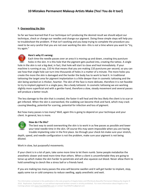## **5. Overworking the Skin**

So far we have learned that if our technique isn't producing the desired result we should adjust our technique, check or change our needles and change our pigment. Doing these simple steps will help you to troubleshoot the problem. If that isn't working and you keep trying to complete the procedure you need to be very careful that you are not over working the skin--this is *not* a time where you want to "try, try again."



## **Here's why it's wrong:**

Each time the needle passes over an area it is moving up and down, creating tiny puncture holes in the skin. It is this hole that the pigment gets pushed into, creating the tattoo. A single hole in the skin is not a big deal, in fact, that hole will start to close and heal immediately. If your machine is running at say, 110 Hz that means that you are making 110 punctures per second, so you can see how that single hole can turn into thousands of holes in a matter of a minute. The more holes you create the more the skin is damaged and the harder the body has to work to heal it. In traditional tattooing the target area for pigment implantation is a little deeper than in cosmetic tattooing and the skin being worked on is thicker, heartier. The skin of the face is more delicate, therefore it is not feasible to try to implant pigment in a single pass, like a body tattooist. In cosmetic tattooing we are working slightly more superficial and with a gentler hand, therefore a slow, steady movement and several passes will produce a better result.

The less damage to the skin that is created, the faster it will heal and the less likely the client is to scar or get infected. When the skin is overworked, the scabbing can become thick and hard, which may crack causing bleeding, potential for scarring, potential for infection and loss of pigment.

But how many passes is too many? Well, again this is going to depend on your technique and your client. In general, less is more.



## **How do I fix this?**

The best way to avoid overworking the skin is to work in as few passes as possible and lower your total needle time in the skin. Of course this may seem impossible when you are having trouble implanting color in the first place. Go through your check list-make sure your stretch,

depth, speed, and needle configuration is not the problem, make sure your pigment is not being diluted.

Work in slow, but purposeful movements.

If your client is in a lot of pain, take some more time to let them numb. Some people metabolize the anesthetic slower and need more time than others. When a client is uncomfortable they are going to tense up which makes the skin harder to penetrate and will also squeeze out blood. Never allow them to hold something to clench like a stress ball or a friends hand.

If you are making too many passes the area will become swollen and it will get harder to implant, stop, apply some ice or cold compress to reduce swelling, apply anesthetic and wait.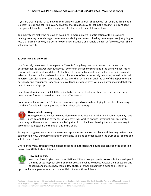If you are creating a lot of damage to the skin it will start to look "chopped up" or rough, at this point it is better to stop and call it a day, any progress that is made may be lost in the healing. Feel confident that you will be able to use this foundation of color to build on at follow up time.

Too many techs make the mistake of pounding in more pigment in anticipation of the loss during healing, creating more damage creates more scabbing and extends healing time, so you are just going to lose that pigment anyway-it's better to work conservatively and handle the rest at follow up, your client will appreciate it.

## **6. Over Thinking the Work**

I don't usually do consultations in person. There isn't anything that I can't say on the phone to a potential client to answer their questions. I do offer in person consultations if the client will feel more comfortable but it's not mandatory. At the time of the actual appointment I will assess their skin and select a color and technique based on that. I know a lot of techs (especially new ones) who do a formal in person consult and then completely obsess over their action plan until the day of the appointment. I personally find this unnecessary because as outlined previously even with a plan you may find that you need to switch things up.

I may look at a client and think XXXX is going to be the perfect color for them, but then when I put a drop on their forehead I see that I need color YYYY instead.

I've also seen techs take out 10 different colors and spend over an hour trying to decide, often asking the client for help-who usually knows nothing about color theory.



## **Here's why it's wrong:**

Having expectations for how you plan to work sets you up to fall into old habits. You may have used color XXXX on every person you have ever worked on with Fitzpatrick XX skin, but this client may be the exception to every rule. Being stuck in old habits or thinking there is only one way to accomplish your goal is the theme of this entire book.

Taking too long to make a decision makes you appear uncertain to your client and that may waiver their confidence in you. Our business rides on our ability to exude confidence, gain the trust of our clients and solicit their referrals.

Offering too many options for the client also leads to indecision and doubt, and can open the door to a bossy client (I'll talk about this later).



## **How do I fix this?**

You don't have to give up on consultations, if that's how you prefer to work, but instead spend the time educating your client on the process and what to expect. Answer their questions and concerns and maybe show them a few photos of other clients with similar color. Take this

opportunity to appear as an expert in your field. Speak with confidence.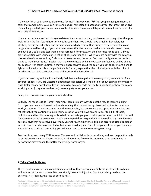If they ask "what color are you plan to use for me?" Answer with "\*I\* (not you) am going to choose a color that compliments your skin tone and natural hair color and accentuates your features." Don't give them a long winded spiel on warm and cool colors, color theory and Fitzpatrick scales, they have no clue what any of that means.

Use your experience and artistic eye to determine your action plan, but be open to trying other things as well. Within the first few minutes of meeting your client you should have a feel for her color, her lifestyle, her Fitzpatrick rating and her nationality, which is more than enough to determine the color range you should be using. If you have determined that she needs a medium brown with warm tones, pull out 1 or 2 colors and test them on her forehead (for brows, on the finger tips for lip color). If you are not satisfied with your color selection choose another color. When you are happy with the color you choose, show it to her and say "I choose this color for you because I feel that it will give us the perfect shade to match your tone." Explain that if the color heals and it is not 100% perfect, you will be able to easily adjust it at touch up time. If they feel apprehensive about the color, you can choose to go a shade lighter or if you know this is the perfect shade for her, explain that the color will mix with the color of her skin and that this particular shade will produce the desired result.

If you start working and you immediately feel that you have picked the wrong color, switch it out for a different shade. If you are uncertain about choosing colors you should think about taking a color theory class. Color theory might seem like an impossible to crack code but really understanding how the colors work together (or against each other) can really skyrocket your work.

Relax, if it's not working use your mental checklist.

Be fluid, "All roads lead to Rome", meaning, there are many ways to get the results you are looking for. If you are new and haven't had much training, think about taking classes with other techs whose work you admire. Trainings can be incredibly expensive, but our services are appropriately priced and reflect that. If you continue to build your education you will have an enormous "tool kit" of tools, techniques and troubleshooting skills to help you create gorgeous makeup effortlessly, which in turn will translate to making more money. I don't have a special technique that I pioneered on my own, I have a personal style that has evolved over many years through experience, trial and error and gleaning bits of info, tips and tricks from others techs, trainers and colleagues. One of the greatest errors you can make is to think you can learn everything you will ever need to know from a single training.

Practice! I've been doing PMU for over 13 years and I still doodle brows all day and use the practice pads to perfect my technique. Success in PMU is all about the flow so the more you train your hands to perform the movements, the better they will perform for you.

## **7. Taking Terrible Photos**

There is nothing worse than completing a procedure that you are incredibly proud of only to go home and look at the photos and see that they simply do not do it justice. Our work relies greatly on our portfolio, it is, literally, the face of our business.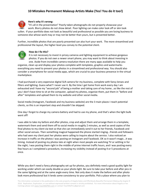

## **Here's why it's wrong:**

"It's all in the presentation" Poorly taken photographs do not properly showcase your work. Blurry photos do not show detail. Poor lighting can make color look off or skin look sullen. If your portfolio does not look as beautiful and professional as possible you are losing business to someone else whose work may or may not be better than yours, but is presented better.

Further, incredible photos that are poorly presented can also hurt your work. The more streamlined and professional the layout, the higher level you convey to the potential client.



#### **How do I fix this?**

It is not necessary to invest in pricey cameras and lighting equipment to achieve gorgeous photos. If you do not own a newer smart phone, you may want to think about investing in one. Aside from incredible camera resolution there are many apps available to help you

organize, clean up and display your photos complete with templates, graphics and watermarkseverything you need to present your photos in a streamlined and professional way. You should also consider a smartphone for social media apps, which are crucial to your business presence in the virtual marketplace.

I had purchased a very expensive digital SLR camera for my business, complete with fancy lenses and filters and lighting. Guess what? I never use it. By the time I get home from work every day I am exhausted and I have my "second job" of being a mother and taking care of my home...so like the rest of you I don't have time to sit at the computer, upload my photos, organize them, put them in "before and after" templates and upload them to my website and other social media.

Social media (Instagram, Facebook and my business website) are the 3 main places I reach potential clients, so this is an important step and shouldn't be skipped.

One day I forgot to charge my camera battery and had to use my phone, and that's when the light bulb went off!

I was able to take my before and after photos, crop and adjust them and arrange them in a template, watermark them and send them off to social media in roughly 2 minutes, as well as send copies of the final photos to my client via text so that she can immediately send it out to her friends, Facebook and other social venues. Then something magical happened-the phone started ringing...friends and followers who had seen my client post her photos were calling to inquire about the service. I also noticed an increase in traffic on the photos I was posting on Instagram and Facebook. OK so it wasn't magic...it was timing. Instead of posting my photos late at night when most people are watching TV or settling in for the night, I was posting them right in the middle of prime internet traffic hours, and I was posting every few hours as I completed a procedure, increasing my visibility instead of posting 4 or 5 procedures at once.

While you don't need a fancy photography set up for photos, you definitely need a good quality light for working under which can easily double as your photo light. Be sure to take your before and after pics in the same lighting and at the same angle every time. Not only does it make the before and after photo look more professional but it lends some consistency to your portfolio. Pick a place where you plan to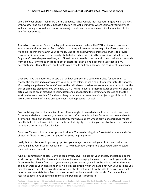take all of your photos, make sure there is adequate light available (not just natural light which changes with weather and time of day). Choose a spot on the wall behind you where you want your clients to look and put a photo, wall decoration, or even just a sticker there so you can direct your clients to look at it for their photos.

A word on consistency. One of the biggest promises we can make in the PMU business is consistency. Your potential clients want to feel confident that they will receive the same quality of work that their friend did, or that they saw in your portfolio. One of the best ways to achieve this trust is to provide consistency in your photos. I personally like to tailor each service directly to my client. I don't have a "signature" brow shape or eyeliner, etc. Since I cannot provide consistency in the actual work I do (aside from quality), I try to take an identical set of photos for each client. Subconsciously that tells my potential clients that although I am flexible in my style to suit each person, I am consistent in my work.

Once you have the photos use an app that will put your pics in a collage template for you. Learn to change the background color to match your business colors, or use a color that accentuates the photos. Most collage apps have a "retouch" feature that will allow you adjust exposure and even smooth out the skin or eliminate blemishes. You definitely DO NOT want to over use these features as they will alter the actual work and are misleading to your customers, but adjusting the lighting or exposure so that the work can be seen clearly is OK and smoothing out some wrinkles or blemishes (as long as it is not in the actual area worked on) is fine and your clients will appreciate it as well.

Practice taking photos of your client from different angles to see which you like best, which are most flattering and which showcase your work the best. Often our clients have features that do not allow for a flattering "head-on" photos. For example, you may have a client whose brow bone structure makes only the bulb of the brow visible from the front, but slightly to the side you are able to see the bulb and tail-this is a better angle for this client.

Go on YouTube and look up short photo tip videos. Try search strings like "how to take before and after photos" or "how to take a portrait photo" for some helpful pro tips.

Lastly, but possibly most importantly...protect your images! Watermark your photos and make sure everything has your business website on it, so no matter how the photo is discovered, an interested client will be able to find you!

One last comment on photos: Don't be too perfect. Over "adjusting" your photos, photoshopping the work, over perfecting the skin or eliminating redness or changing the color is deceitful to your audience. Aside from the obvious fact that if your work is photoshopped you will not be able to deliver the same quality of work to your clients and they will be disappointed-which will hurt if not ruin your business-you may also create unrealistic expectations for your clients that you will not be able to deliver. You want to be sure that potential clients feel that their desired results are attainable but also for them to have realistic expectations of potential redness and swelling post-procedure.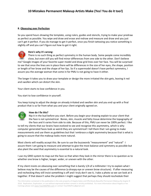## **8. Obsessing over Perfection**

So you spend hours drawing the template, using rulers, guides and stencils, trying to make your predraw as perfect as possible. You wipe and draw and erase and redraw and measure and draw and you just can't get it perfect. If you do manage to get it perfect, once you finish tattooing you notice something is slightly off and you can't figure out how to get it right.



## **Here's why it's wrong:**

There is no such thing as perfect symmetry in the human body. Some people come incredibly close, but even still you will find minor differences from one side to the other. Don't believe me? Google images of your favorite super model and draw grid lines over her face. You will be surprised to see that once the lines are in place there will be differences in the size of her eyes, the shape, position or length of her brow and the shape of her lips. So if a supermodel doesn't have perfect symmetry, I assure you the average woman that come in for PMU is not going to have it either.

The longer it takes you to draw your template or design the more irritated the skin gets, leaving it red and swollen which can distort the skin.

Your client starts to lose confidence in you.

You start to lose confidence in yourself.

You keep trying to adjust the design on already irritated and swollen skin and you end up with a final product that is so far from what you and your client originally agreed on.



## **How do I fix this?**

Nip it in the bud before you start. Before you begin your drawing explain to your client that the face is not symmetrical. Bones, skin, muscle and fatty tissue determine the topography of the face and it varies from side to side. Because of this, PMU can never be 100% perfect. I like

to tell my clients that our brains have evolved to see and recognize this asymmetry, which is why computer generated faces look so weird-they are symmetrical! I tell them that I am going to make measurements and use them as guidelines but that I embrace a slight asymmetry because that is what is going to assure that the makeup looks more natural.

Most clients will readily accept this. Be sure to use the buzzwords "measurement" and "natural" I assure them I am going to measure and attempt to give the most balance and symmetry as possible but also plant the seed that asymmetry is essential to a natural look.

I use my GRID system to map out the face so that when they look in the mirror there is no question as to whether one brow is higher, longer, wider, or uneven with the other.

If my client insists on obsessing over something that is barely 1/4 of a millimeter I try to explain what I believe may be the causes of the difference (a droopy eye or uneven brow structure). If after measuring and rechecking they still insist something is off and I truly don't see it, I take a photo so we can look at it together. If that doesn't solve the problem I might suggest that perhaps they should reschedule their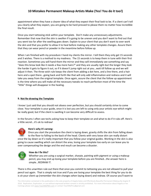appointment when they have a clearer idea of what they expect their final look to be. If a client can't tell you clearly what they expect, you are going to be hard pressed to please them no matter how incredible the final result.

Once you start tattooing stick within your template. Don't make any unnecessary adjustments. Remember that now that the skin is swollen if is going to be uneven and you don't want to find out that you went too far after the swelling goes down. Explain to your client that you don't want to over work the skin and that you prefer to allow it to heal before making any other template changes. Assure them that they can wear pencil or powder in the meantime before follow up.

When I am finished with my procedure I hand my clients the mirror. I tell them they only get 15 seconds and 3 wishes. There is a method to my madness. The 15 seconds is to keep them in tune with their first reaction. Sometimes you will hand them the mirror and they will immediately see something and say "does this brow look like it needs a few more hairs?" and they are usually right-but the longer they look the harder it gets to figure it out, so if it doesn't jump right out at you...wait till follow up and we will adjust it then. The three wish rule keeps the client from adding a dot here, and a line there, and a hair here and a spot there...going back and forth like that will only add inflammation and redness and it will take you away from the original template. Once again, assure the client that the follow up appointment is the time where you will make all the necessary tweaks to reach perfection-most of the time the "little" things will disappear in the healing.

## **9. Not Re-drawing the Template**

I know I just said that you should not obsess over perfection, but you should certainly strive to come close. Your template is your guide, once it is lost you are left to using only your artistic eye-which might be really good, but if the client is swelling it can become very difficult to assess.

In the forums I often see techs asking how to keep their template on and what to do if it rubs off. Here's a little secret...it's ok to redraw!



## **Here's why it's wrong:**

Once you start the procedure the client is laying down, gravity shifts the skin from falling down to the floor to falling to the back of the head. Clients with very loose skin can really distort once the lay down so it's really important that you follow your original guides. Working in the skin is also going to cause swelling which can distort the area, losing your template too early on can leave you to over compensating the design and the end result can become a disaster.



## **How do I fix this?**

Whether you are using a surgical marker, sharpie, painting with pigment or using a makeup pencil, you may end up losing your template before you are finished...the answer here is simple...REDRAW IT.

There is this unwritten rule out there that once you commit to tattooing you are not allowed to pull your pencil out again. That is simply not true and if you are losing your template the best thing for you to do is sit your client up (remember the skin changes when laying down) and redraw. Of course you'll want to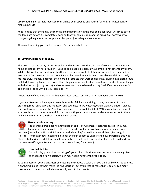use something disposable because the skin has been opened and you can't sterilize surgical pens or makeup pencils.

Keep in mind that there may be redness and inflammation in the area so be conservative. Try to catch the template before it is completely gone so that you can just re-mark the areas. You don't want to change anything about the template at this point, just salvage what was lost.

Throw out anything you used to redraw, it's contaminated now.

## **10. Letting Clients Run the Show**

This used to be one of my biggest mistakes and unfortunately there is a lot of work out there with my name on it that I am not proud of. I used to be a people pleaser, always afraid to not cater to my client. While I still like for my client to feel as though they are in control of their procedure I have learned to exert myself as the expert in the room. I am embarrassed to admit that I have allowed cleints to bully me into awful shapes, inappropriate colors, hair strokes that were so close they blurred into block brows and dark brown lip liners that turned blackish, greyish as they healed. Sometimes the clients were happy with their results (to my horror) and some were not, only to have them say "well if you knew it wasn't going to look good why did you let me do it?"

I know many of you have had this happen at least once. I am here to tell you now: CUT IT OUT!!

If you are like me you have spent many thousands of dollars in trainings, many hundreds of hours practicing (both physically and mentally) and countless hours watching others work via photos, videos, Facebook groups, forums, etc. You have consumed every available bit of PMU knowledge you can get your hands on...but when you walk in the room with your client you surrender your expertise to them and allow them to run the show. THAT STOPS TODAY.



## **Here's why it is wrong:**

The average person has no knowledge of color, skin, pigments, techniques, etc. They may know what their desired result is, but they do not know how to achieve it, or if it is even possible. (I once had a Fitzpatrick 5 woman with dark blue/brown lips demand that I give her gold "lipstick". No matter how I explained it to her she didn't seem to understand how impossible this was. She insisted a friend had it done, and I eventually released her to find another tech that could perform that service---If anyone knows that particular technique, I'm all ears.)



## **How do I fix this?**

Don't display your colors. Showing off your color collection opens the door to allowing clients to choose their own colors, which may not be right for their skin tone.

Take into account your clients desired outcome and choose a color that you think will work. You can test it on their skin and let them make the final decision, but avoid testing more than 3 colors. Too many choices lead to indecision, which also usually leads to bad results.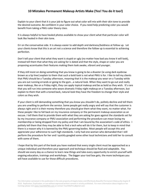Explain to your client that it is your job to figure out what color will mix with their skin tone to provide the desired outcome. Be confident in your color choice. If you need help predicting color you would benefit from taking a PMU color theory class.

It is always helpful to have healed photos available to show your client what that particular color will look like healed in their skin tone.

Err on the conservative side. It is always easier to add depth and darkness/boldness at follow up. Let your clients know that this is an art not a science and therefore the follow up is essential to achieving perfection.

Don't tell your client that what they want is stupid or ugly (no matter how bad you know it will look), instead tell them that what they are asking for is dated and that the style, shape or color you are proposing accentuates their features making them look awake, vibrant and younger.

If they still insist on doing something that you know is going to be a disaster (ie using dark eyebrow brown as a lip liner) explain to them that such a bold look is not what PMU is for. I like to tell my clients that PMU should be a Tuesday afternoon, meaning that it is the makeup you wear on a Tuesday while you are out running errands or going to the gym...a natural look. When they want to go out and really wear makeup, like on a Friday night, they can apply topical makeup and be as bold as they wish. It's rare that you will run into someone who wears dramatic Friday night makeup on a Tuesday afternoon, but explain to them that with a toned back, natural look they have the freedom to change their style and colors as they wish.

If your client is still demanding something that you know you shouldn't do, politely decline and tell them you are unwilling to perform the service. Some people get really angry and will say that the customer is always right and it is their money therefore you should give them what they want, no matter what. For these people I like to fall back on my insurance company or the permanent makeup association as an excuse. I tell them that to provide them with what they are asking for goes against the standards set for by my insurance company or PMU association and performing the procedure can mean losing my membership or being dropped from my policy and that I am bound by the association's code of ethics. I politely tell them that they may be able to find a tech who will do it for them, but to keep in mind that there is a reason why it is banned by the PMU governing bodies. Most people will accept this and appreciate your adherence to such high standards. I only had one woman who demanded that I still perform the procedure for her and I quickly googled some other local technicians and told her to consult with some of them.

I hope that by this part of the book you have realized that every single client must be approached as a unique individual and therefore your approach and technique should be fluid and adaptable. You should see every day as a chance to learn new things and take every opportunity to enrich yourself with ongoing education, trainings and workshops. The bigger your tool box gets, the more techniques you will have available to use for those difficult procedures.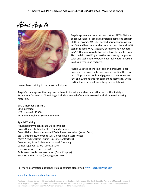About Angela



Angela apprenticed as a tattoo artist in 1997 in NYC and began working full time as a professional tattoo artist in 2001 in Tacoma, WA. She learned permanent make up in 2003 and has since worked as a tattoo artist and PMU tech in Tacoma WA, Stuttgart, Germany and now back in NYC. Her years as a tattoo artist have helped her as a PMU tech in providing expertise in choosing the proper color and technique to obtain beautifully natural results in all skin types and textures.

Angela uses top of the line tools and products in her procedures so you can be sure you are getting the very best. All products (tools and pigments) meet or exceed FDA and EU standards for permanent cosmetics. She is certified internationally and keeps up to date with

master level training in the latest techniques.

Angela's trainings are thorough and adhere to industry standards and ethics set by the Society of Permanent Cosmetics. All training's include a manual of material covered and all required working materials.

SPCP, Member # 155751 CPCP Certified NYS License # 173368 Permanent Make up Society, Member

## **Special Training:**

Advanced Permanent Make Up Techniques Brows Hairstroke Master Class (Belinda Hayle) Brows Hairstroke and Advanced Techniques, workshop (Karen Betts) Scar Camouflage, workshop (Val Glover-Havan, April Meese) Micro Needling Basic Course (Dr. Lance Setterfeild) Brow Artist, Brow Artists International \*pending Camouflage, workshop (Lanette Scherr) Lips, workshop (Jeanee Lusby) 3d Microstroke Brows, workshop (Daria Chuprys) SPCP Train the Trainer (pending April 2016)

## For more information about her training courses please visit [www.TeachMePMU.com](http://www.teachmepmu.com/)

#### [www.Facebook.com/teachmepmu](http://www.facebook.com/teachmepmu)